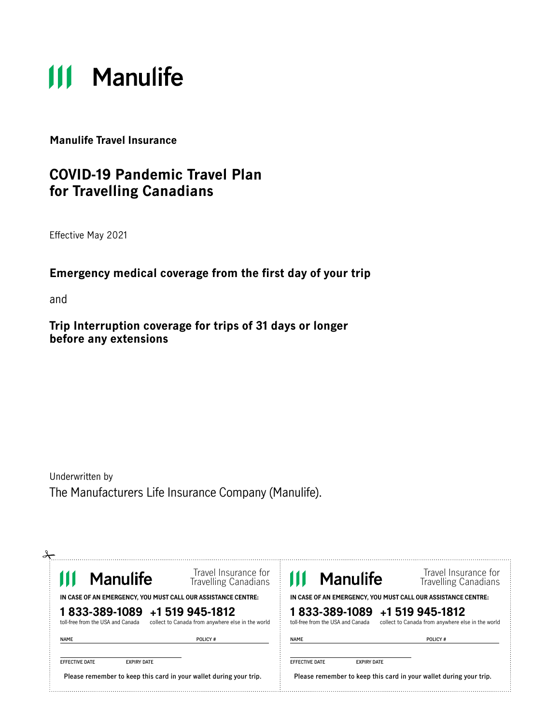# **111 Manulife**

**Manulife Travel Insurance** 

# **COVID-19 Pandemic Travel Plan for Travelling Canadians**

Effective May 2021

### **Emergency medical coverage from the first day of your trip**

and

**Trip Interruption coverage for trips of 31 days or longer before any extensions** 

Underwritten by The Manufacturers Life Insurance Company (Manulife).

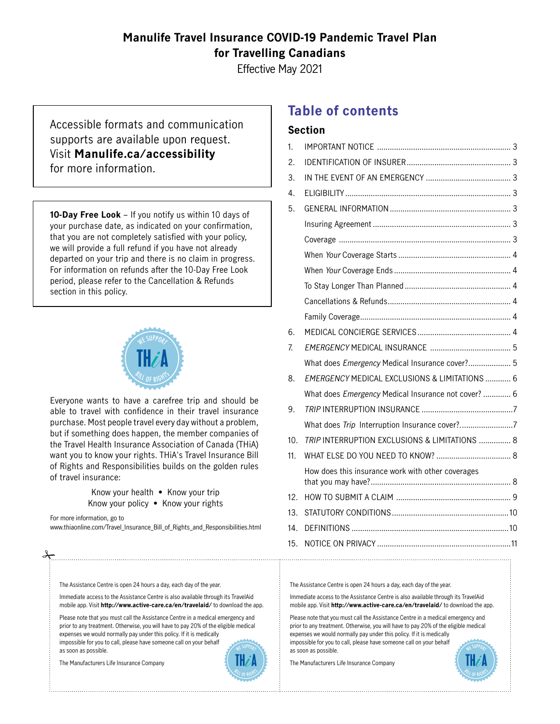### **Manulife Travel Insurance COVID-19 Pandemic Travel Plan for Travelling Canadians**

Effective May 2021

Accessible formats and communication supports are available upon request. Visit **Manulife.ca/accessibility** for more information.

**10-Day Free Look** – If you notify us within 10 days of your purchase date, as indicated on your confirmation, that you are not completely satisfied with your policy, we will provide a full refund if you have not already departed on your trip and there is no claim in progress. For information on refunds after the 10-Day Free Look period, please refer to the Cancellation & Refunds section in this policy.



Everyone wants to have a carefree trip and should be able to travel with confidence in their travel insurance purchase. Most people travel every day without a problem, but if something does happen, the member companies of the Travel Health Insurance Association of Canada (THiA) want you to know your rights. THiA's Travel Insurance Bill of Rights and Responsibilities builds on the golden rules of travel insurance:

> Know your health • Know your trip Know your policy • Know your rights

For more information, go to [www.thiaonline.com/Travel\\_Insurance\\_Bill\\_of\\_Rights\\_and\\_Responsibilities.html](www.thiaonline.com/Travel_Insurance_Bill_of_Rights_and_Responsibilities.html)

The Assistance Centre is open 24 hours a day, each day of the year.

mobile app. Visit **http://www.active-care.ca/en/travelaid/** to download the app. Immediate access to the Assistance Centre is also available through its TravelAid

Please note that you must call the Assistance Centre in a medical emergency and prior to any treatment. Otherwise, you will have to pay 20% of the eligible medical expenses we would normally pay under this policy. If it is medically impossible for you to call, please have someone call on your behalf as soon as possible.

The Manufacturers Life Insurance Company



# **Table of contents**

#### **Section**

| EST.                                                                                                      | 1.              |                                                          |  |
|-----------------------------------------------------------------------------------------------------------|-----------------|----------------------------------------------------------|--|
|                                                                                                           | 2.              |                                                          |  |
|                                                                                                           | 3.              |                                                          |  |
|                                                                                                           | 4.              |                                                          |  |
| 0 days of<br>ifirmation,<br>ur policy,<br>Iready<br>progress.<br>ree Look<br>unds                         | 5.              |                                                          |  |
|                                                                                                           |                 |                                                          |  |
|                                                                                                           |                 |                                                          |  |
|                                                                                                           |                 |                                                          |  |
|                                                                                                           |                 |                                                          |  |
|                                                                                                           |                 |                                                          |  |
|                                                                                                           |                 |                                                          |  |
| d should be<br>el insurance<br>t a problem,<br>ompanies of<br>nada (THiA)<br>surance Bill<br>golden rules |                 |                                                          |  |
|                                                                                                           | 6.              |                                                          |  |
|                                                                                                           | $\mathbf{Z}$    |                                                          |  |
|                                                                                                           |                 | What does Emergency Medical Insurance cover? 5           |  |
|                                                                                                           | 8.              | <b>EMERGENCY MEDICAL EXCLUSIONS &amp; LIMITATIONS  6</b> |  |
|                                                                                                           |                 | What does Emergency Medical Insurance not cover?  6      |  |
|                                                                                                           | 9.              |                                                          |  |
|                                                                                                           |                 |                                                          |  |
|                                                                                                           | 10.             | TRIP INTERRUPTION EXCLUSIONS & LIMITATIONS  8            |  |
|                                                                                                           | 11.             |                                                          |  |
|                                                                                                           |                 | How does this insurance work with other coverages        |  |
| р<br>ıts                                                                                                  | 12.             |                                                          |  |
|                                                                                                           | 13 <sub>1</sub> |                                                          |  |
| ponsibilities.html                                                                                        | 14.             |                                                          |  |
|                                                                                                           |                 |                                                          |  |
|                                                                                                           |                 |                                                          |  |

The Assistance Centre is open 24 hours a day, each day of the year.

Immediate access to the Assistance Centre is also available through its TravelAid mobile app. Visit **http://www.active-care.ca/en/travelaid/** to download the app.

Please note that you must call the Assistance Centre in a medical emergency and prior to any treatment. Otherwise, you will have to pay 20% of the eligible medical expenses we would normally pay under this policy. If it is medically impossible for you to call, please have someone call on your behalf as soon as possible.

The Manufacturers Life Insurance Company

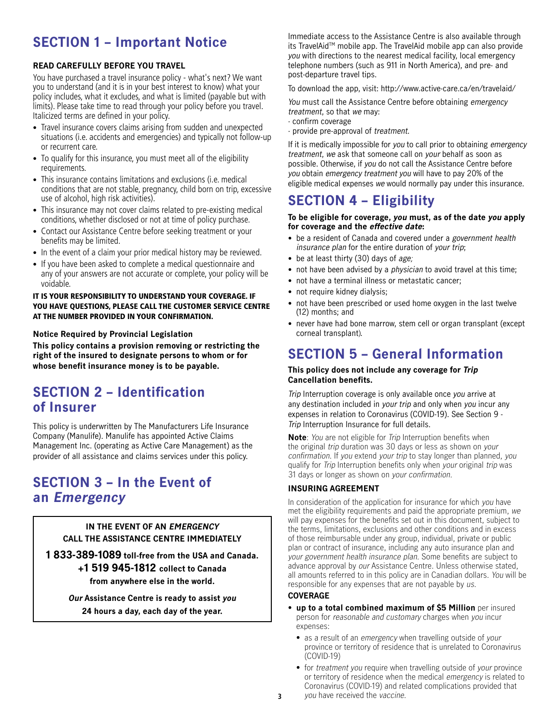# <span id="page-2-0"></span>**SECTION 1 – Important Notice**

#### **READ CAREFULLY BEFORE YOU TRAVEL**

You have purchased a travel insurance policy - what's next? We want you to understand (and it is in your best interest to know) what your policy includes, what it excludes, and what is limited (payable but with limits). Please take time to read through your policy before you travel. Italicized terms are defned in your policy.

- Travel insurance covers claims arising from sudden and unexpected situations (i.e. accidents and emergencies) and typically not follow-up or recurrent care.
- To qualify for this insurance, you must meet all of the eligibility requirements.
- This insurance contains limitations and exclusions (i.e. medical conditions that are not stable, pregnancy, child born on trip, excessive use of alcohol, high risk activities).
- This insurance may not cover claims related to pre-existing medical conditions, whether disclosed or not at time of policy purchase.
- Contact our Assistance Centre before seeking treatment or your benefits may be limited.
- In the event of a claim your prior medical history may be reviewed.
- If you have been asked to complete a medical questionnaire and any of your answers are not accurate or complete, your policy will be voidable.

#### IT IS YOUR RESPONSIBILITY TO UNDERSTAND YOUR COVERAGE. IF YOU HAVE QUESTIONS, PLEASE CALL THE CUSTOMER SERVICE CENTRE AT THE NUMBER PROVIDED IN YOUR CONFIRMATION.

#### **Notice Required by Provincial Legislation**

**This policy contains a provision removing or restricting the right of the insured to designate persons to whom or for whose benefit insurance money is to be payable.**

# **SECTION 2 – Identification of Insurer**

This policy is underwritten by The Manufacturers Life Insurance Company (Manulife). Manulife has appointed Active Claims Management Inc. (operating as Active Care Management) as the provider of all assistance and claims services under this policy.

# **SECTION 3 – In the Event of an Emergency**

#### **IN THE EVENT OF AN EMERGENCY CALL THE ASSISTANCE CENTRE IMMEDIATELY**

**1 833-389-1089 toll-free from the USA and Canada. +1 519 945-1812 collect to Canada from anywhere else in the world.**

> **Our Assistance Centre is ready to assist you 24 hours a day, each day of the year.**

Immediate access to the Assistance Centre is also available through its TravelAidTM mobile app. The TravelAid mobile app can also provide you with directions to the nearest medical facility, local emergency telephone numbers (such as 911 in North America), and pre- and post-departure travel tips.

To download the app, visit: [http://www.active-care.ca/en/travelaid/](http://www.active-care.ca/en/travelaid/.)

You must call the Assistance Centre before obtaining emergency treatment, so that we may:

- · confirm coverage
- · provide pre-approval of treatment.

If it is medically impossible for you to call prior to obtaining emergency treatment, we ask that someone call on your behalf as soon as possible. Otherwise, if you do not call the Assistance Centre before you obtain emergency treatment you will have to pay 20% of the eligible medical expenses we would normally pay under this insurance.

# **SECTION 4 – Eligibility**

#### **To be eligible for coverage, you must, as of the date you apply for coverage and the effective date:**

- be a resident of Canada and covered under a government health insurance plan for the entire duration of your trip;
- be at least thirty (30) days of age;
- not have been advised by a *physician* to avoid travel at this time;
- not have a terminal illness or metastatic cancer;
- not require kidney dialysis;
- • not have been prescribed or used home oxygen in the last twelve (12) months; and
- • never have had bone marrow, stem cell or organ transplant (except corneal transplant).

# **SECTION 5 – General Information**

#### **This policy does not include any coverage for Trip Cancellation benefits.**

 expenses in relation to Coronavirus (COVID-19). See Section 9 - Trip Interruption coverage is only available once you arrive at any destination included in your trip and only when you incur any Trip Interruption Insurance for full details.

**Note**: You are not eligible for Trip Interruption benefits when the original trip duration was 30 days or less as shown on your confirmation. If you extend your trip to stay longer than planned, you qualify for Trip Interruption benefits only when your original trip was 31 days or longer as shown on your confirmation.

#### **INSURING AGREEMENT**

In consideration of the application for insurance for which you have met the eligibility requirements and paid the appropriate premium, we will pay expenses for the benefits set out in this document, subject to the terms, limitations, exclusions and other conditions and in excess of those reimbursable under any group, individual, private or public plan or contract of insurance, including any auto insurance plan and your government health insurance plan. Some benefits are subject to advance approval by our Assistance Centre. Unless otherwise stated, all amounts referred to in this policy are in Canadian dollars. You will be responsible for any expenses that are not payable by us.

#### **COVERAGE**

- **up to a total combined maximum of \$5 Million** per insured person for reasonable and customary charges when you incur expenses:
	- as a result of an emergency when travelling outside of your province or territory of residence that is unrelated to Coronavirus (COVID-19)
- for treatment you require when travelling outside of your province or territory of residence when the medical emergency is related to Coronavirus (COVID-19) and related complications provided that **3** you have received the vaccine.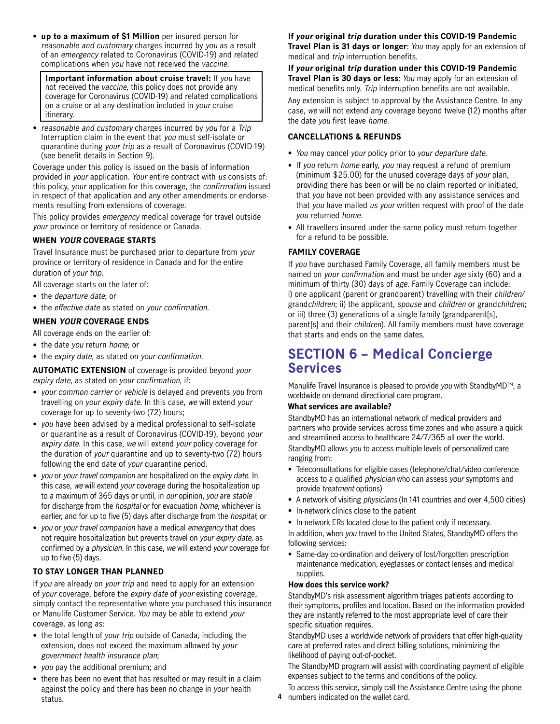<span id="page-3-0"></span>• **up to a maximum of \$1 Million** per insured person for reasonable and customary charges incurred by you as a result of an emergency related to Coronavirus (COVID-19) and related complications when you have not received the vaccine.

**Important information about cruise travel:** If you have not received the vaccine, this policy does not provide any coverage for Coronavirus (COVID-19) and related complications on a cruise or at any destination included in your cruise itinerary.

• reasonable and customary charges incurred by you for a Trip Interruption claim in the event that you must self-isolate or quarantine during your trip as a result of Coronavirus (COVID-19) (see benefit details in Section 9).

Coverage under this policy is issued on the basis of information provided in your application. Your entire contract with us consists of: this policy, your application for this coverage, the confirmation issued in respect of that application and any other amendments or endorsements resulting from extensions of coverage.

This policy provides emergency medical coverage for travel outside your province or territory of residence or Canada.

#### **WHEN YOUR COVERAGE STARTS**

Travel Insurance must be purchased prior to departure from your province or territory of residence in Canada and for the entire duration of your trip.

All coverage starts on the later of:

- the *departure date*; or
- the effective date as stated on your confirmation.

#### **WHEN YOUR COVERAGE ENDS**

All coverage ends on the earlier of:

- the date you return home; or
- the expiry date, as stated on your confirmation.

**AUTOMATIC EXTENSION** of coverage is provided beyond your expiry date, as stated on your confirmation, if:

- your common carrier or vehicle is delayed and prevents you from travelling on your expiry date. In this case, we will extend your coverage for up to seventy-two (72) hours;
- you have been advised by a medical professional to self-isolate or quarantine as a result of Coronavirus (COVID-19), beyond your expiry date. In this case, we will extend your policy coverage for the duration of your quarantine and up to seventy-two (72) hours following the end date of your quarantine period.
- you or your travel companion are hospitalized on the expiry date. In this case, we will extend your coverage during the hospitalization up to a maximum of 365 days or until, in our opinion, you are stable for discharge from the *hospital* or for evacuation *home*, whichever is earlier, and for up to five (5) days after discharge from the hospital; or
- you or your travel companion have a medical emergency that does not require hospitalization but prevents travel on your expiry date, as confirmed by a physician. In this case, we will extend your coverage for up to five (5) days.

#### **TO STAY LONGER THAN PLANNED**

If you are already on your trip and need to apply for an extension of your coverage, before the expiry date of your existing coverage, simply contact the representative where you purchased this insurance or Manulife Customer Service. You may be able to extend your coverage, as long as:

- the total length of your trip outside of Canada, including the extension, does not exceed the maximum allowed by your government health insurance plan;
- you pay the additional premium; and
- there has been no event that has resulted or may result in a claim against the policy and there has been no change in your health status.

#### **If your original trip duration under this COVID-19 Pandemic Travel Plan is 31 days or longer**: You may apply for an extension of

medical and trip interruption benefits.

**If your original trip duration under this COVID-19 Pandemic Travel Plan is 30 days or less**: You may apply for an extension of medical benefits only. Trip interruption benefits are not available.

Any extension is subject to approval by the Assistance Centre. In any case, we will not extend any coverage beyond twelve (12) months after the date you first leave home.

#### **CANCELLATIONS & REFUNDS**

- You may cancel your policy prior to your departure date.
- If you return home early, you may request a refund of premium (minimum \$25.00) for the unused coverage days of your plan, providing there has been or will be no claim reported or initiated, that you have not been provided with any assistance services and that you have mailed us your written request with proof of the date you returned home.
- • All travellers insured under the same policy must return together for a refund to be possible.

#### **FAMILY COVERAGE**

If you have purchased Family Coverage, all family members must be named on your confirmation and must be under age sixty (60) and a minimum of thirty (30) days of *age*. Family Coverage can include: i) one applicant (parent or grandparent) travelling with their children/ grandchildren; ii) the applicant, spouse and children or grandchildren; or iii) three (3) generations of a single family (grandparent[s], parent[s] and their children). All family members must have coverage that starts and ends on the same dates.

# **SECTION 6 – Medical Concierge Services**

Manulife Travel Insurance is pleased to provide you with StandbyMD™, a worldwide on-demand directional care program.

#### **What services are available?**

StandbyMD has an international network of medical providers and partners who provide services across time zones and who assure a quick and streamlined access to healthcare 24/7/365 all over the world. StandbyMD allows you to access multiple levels of personalized care ranging from:

- Teleconsultations for eligible cases (telephone/chat/video conference access to a qualified physician who can assess your symptoms and provide treatment options)
- A network of visiting *physicians* (In 141 countries and over 4,500 cities)
- In-network clinics close to the patient
- In-network ERs located close to the patient only if necessary.

In addition, when you travel to the United States, StandbyMD offers the following services:

• Same-day co-ordination and delivery of lost/forgotten prescription maintenance medication, eyeglasses or contact lenses and medical supplies.

#### **How does this service work?**

StandbyMD's risk assessment algorithm triages patients according to their symptoms, profiles and location. Based on the information provided they are instantly referred to the most appropriate level of care their specific situation requires.

StandbyMD uses a worldwide network of providers that offer high-quality care at preferred rates and direct billing solutions, minimizing the likelihood of paying out-of-pocket.

The StandbyMD program will assist with coordinating payment of eligible expenses subject to the terms and conditions of the policy.

To access this service, simply call the Assistance Centre using the phone

**4** numbers indicated on the wallet card.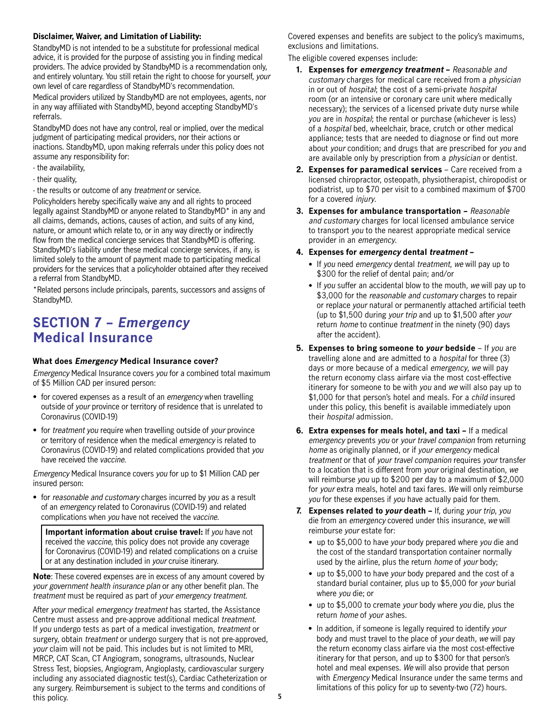#### <span id="page-4-0"></span>**Disclaimer, Waiver, and Limitation of Liability:**

StandbyMD is not intended to be a substitute for professional medical advice, it is provided for the purpose of assisting you in finding medical providers. The advice provided by StandbyMD is a recommendation only, and entirely voluntary. You still retain the right to choose for yourself, your own level of care regardless of StandbyMD's recommendation.

Medical providers utilized by StandbyMD are not employees, agents, nor in any way affiliated with StandbyMD, beyond accepting StandbyMD's referrals.

StandbyMD does not have any control, real or implied, over the medical judgment of participating medical providers, nor their actions or inactions. StandbyMD, upon making referrals under this policy does not assume any responsibility for:

- the availability,
- their quality,
- the results or outcome of any treatment or service.

Policyholders hereby specifically waive any and all rights to proceed legally against StandbyMD or anyone related to StandbyMD\* in any and all claims, demands, actions, causes of action, and suits of any kind, nature, or amount which relate to, or in any way directly or indirectly flow from the medical concierge services that StandbyMD is offering. StandbyMD's liability under these medical concierge services, if any, is limited solely to the amount of payment made to participating medical providers for the services that a policyholder obtained after they received a referral from StandbyMD.

\*Related persons include principals, parents, successors and assigns of StandbyMD.

## **SECTION 7 – Emergency Medical Insurance**

#### **What does Emergency Medical Insurance cover?**

Emergency Medical Insurance covers you for a combined total maximum of \$5 Million CAD per insured person:

- for covered expenses as a result of an emergency when travelling outside of your province or territory of residence that is unrelated to Coronavirus (COVID-19)
- for treatment you require when travelling outside of your province or territory of residence when the medical emergency is related to Coronavirus (COVID-19) and related complications provided that you have received the vaccine.

Emergency Medical Insurance covers you for up to \$1 Million CAD per insured person:

• for reasonable and customary charges incurred by you as a result of an emergency related to Coronavirus (COVID-19) and related complications when you have not received the vaccine.

**Important information about cruise travel:** If you have not received the vaccine, this policy does not provide any coverage for Coronavirus (COVID-19) and related complications on a cruise or at any destination included in your cruise itinerary.

**Note**: These covered expenses are in excess of any amount covered by your government health insurance plan or any other benefit plan. The treatment must be required as part of your emergency treatment.

After your medical emergency treatment has started, the Assistance Centre must assess and pre-approve additional medical treatment. If you undergo tests as part of a medical investigation, treatment or surgery, obtain treatment or undergo surgery that is not pre-approved, your claim will not be paid. This includes but is not limited to MRI, MRCP, CAT Scan, CT Angiogram, sonograms, ultrasounds, Nuclear Stress Test, biopsies, Angiogram, Angioplasty, cardiovascular surgery including any associated diagnostic test(s), Cardiac Catheterization or any surgery. Reimbursement is subject to the terms and conditions of this policy.

Covered expenses and benefits are subject to the policy's maximums, exclusions and limitations.

The eligible covered expenses include:

- **1. Expenses for emergency treatment** Reasonable and customary charges for medical care received from a physician in or out of hospital; the cost of a semi-private hospital room (or an intensive or coronary care unit where medically necessary); the services of a licensed private duty nurse while you are in hospital; the rental or purchase (whichever is less) of a hospital bed, wheelchair, brace, crutch or other medical appliance; tests that are needed to diagnose or find out more about your condition; and drugs that are prescribed for you and are available only by prescription from a physician or dentist.
- **2. Expenses for paramedical services** Care received from a licensed chiropractor, osteopath, physiotherapist, chiropodist or podiatrist, up to \$70 per visit to a combined maximum of \$700 for a covered injury.
- **3. Expenses for ambulance transportation** Reasonable and customary charges for local licensed ambulance service to transport you to the nearest appropriate medical service provider in an emergency.
- **4. Expenses for emergency dental treatment** 
	- If you need emergency dental treatment, we will pay up to \$300 for the relief of dental pain; and/or
	- If you suffer an accidental blow to the mouth, we will pay up to \$3,000 for the reasonable and customary charges to repair or replace your natural or permanently attached artificial teeth (up to \$1,500 during your trip and up to \$1,500 after your return *home* to continue *treatment* in the ninety (90) days after the accident).
- **5. Expenses to bring someone to your bedside** If you are travelling alone and are admitted to a hospital for three (3) days or more because of a medical emergency, we will pay the return economy class airfare via the most cost-effective itinerary for someone to be with you and we will also pay up to \$1,000 for that person's hotel and meals. For a child insured under this policy, this benefit is available immediately upon their hospital admission.
- **6. Extra expenses for meals hotel, and taxi** If a medical emergency prevents you or your travel companion from returning home as originally planned, or if your emergency medical treatment or that of your travel companion requires your transfer to a location that is different from your original destination, we will reimburse you up to \$200 per day to a maximum of \$2,000 for your extra meals, hotel and taxi fares. We will only reimburse you for these expenses if you have actually paid for them.
- **7. Expenses related to your death** If, during your trip, you die from an emergency covered under this insurance, we will reimburse your estate for:
	- up to \$5,000 to have your body prepared where you die and the cost of the standard transportation container normally used by the airline, plus the return home of your body;
	- up to \$5,000 to have your body prepared and the cost of a standard burial container, plus up to \$5,000 for your burial where you die; or
	- up to \$5,000 to cremate your body where you die, plus the return home of your ashes.
	- In addition, if someone is legally required to identify your body and must travel to the place of your death, we will pay the return economy class airfare via the most cost-effective itinerary for that person, and up to \$300 for that person's hotel and meal expenses. We will also provide that person with *Emergency* Medical Insurance under the same terms and limitations of this policy for up to seventy-two (72) hours.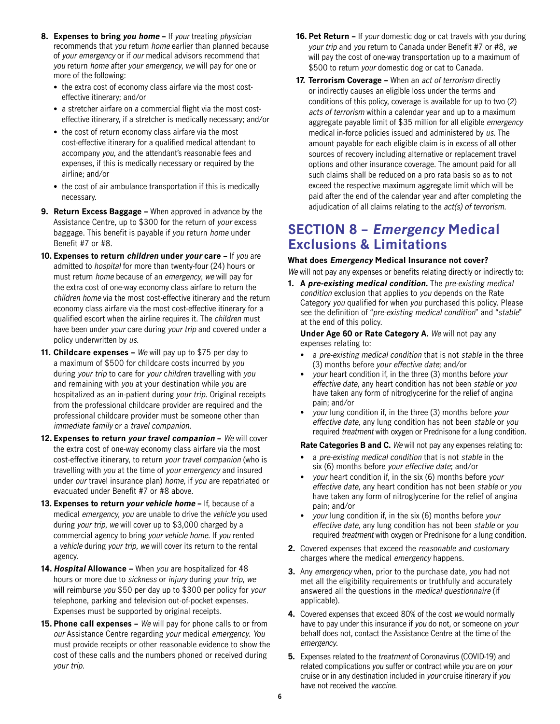- <span id="page-5-0"></span>**8. Expenses to bring you home –** If your treating physician recommends that you return home earlier than planned because of your emergency or if our medical advisors recommend that you return home after your emergency, we will pay for one or more of the following:
	- the extra cost of economy class airfare via the most costeffective itinerary; and/or
	- a stretcher airfare on a commercial flight via the most costeffective itinerary, if a stretcher is medically necessary; and/or
	- the cost of return economy class airfare via the most cost-effective itinerary for a qualified medical attendant to accompany you, and the attendant's reasonable fees and expenses, if this is medically necessary or required by the airline; and/or
	- the cost of air ambulance transportation if this is medically necessary.
- **9. Return Excess Baggage** When approved in advance by the Assistance Centre, up to \$300 for the return of your excess baggage. This benefit is payable if you return home under Benefit #7 or #8.
- **10. Expenses to return children under your care** If you are admitted to hospital for more than twenty-four (24) hours or must return home because of an emergency, we will pay for the extra cost of one-way economy class airfare to return the children home via the most cost-effective itinerary and the return economy class airfare via the most cost-effective itinerary for a qualified escort when the airline requires it. The children must have been under your care during your trip and covered under a policy underwritten by us.
- **11. Childcare expenses** We will pay up to \$75 per day to a maximum of \$500 for childcare costs incurred by you during your trip to care for your children travelling with you and remaining with you at your destination while you are hospitalized as an in-patient during your trip. Original receipts from the professional childcare provider are required and the professional childcare provider must be someone other than immediate family or a travel companion.
- **12. Expenses to return your travel companion** We will cover the extra cost of one-way economy class airfare via the most cost-effective itinerary, to return your travel companion (who is travelling with you at the time of your emergency and insured under our travel insurance plan) home, if you are repatriated or evacuated under Benefit #7 or #8 above.
- **13. Expenses to return your vehicle home** If, because of a commercial agency to bring your vehicle home. If you rented medical emergency, you are unable to drive the vehicle you used during your trip, we will cover up to \$3,000 charged by a a vehicle during your trip, we will cover its return to the rental agency.
- hours or more due to sickness or injury during your trip, we **14. Hospital Allowance –** When you are hospitalized for 48 will reimburse you \$50 per day up to \$300 per policy for your telephone, parking and television out-of-pocket expenses. Expenses must be supported by original receipts.
- **15. Phone call expenses** We will pay for phone calls to or from our Assistance Centre regarding your medical emergency. You must provide receipts or other reasonable evidence to show the cost of these calls and the numbers phoned or received during your trip.
- **16. Pet Return** If your domestic dog or cat travels with you during your trip and you return to Canada under Benefit #7 or #8, we will pay the cost of one-way transportation up to a maximum of \$500 to return your domestic dog or cat to Canada.
- **17. Terrorism Coverage** When an act of terrorism directly or indirectly causes an eligible loss under the terms and conditions of this policy, coverage is available for up to two (2) acts of terrorism within a calendar year and up to a maximum aggregate payable limit of \$35 million for all eligible emergency medical in-force policies issued and administered by us. The amount payable for each eligible claim is in excess of all other sources of recovery including alternative or replacement travel options and other insurance coverage. The amount paid for all such claims shall be reduced on a pro rata basis so as to not exceed the respective maximum aggregate limit which will be paid after the end of the calendar year and after completing the adjudication of all claims relating to the act(s) of terrorism.

# **SECTION 8 – Emergency Medical Exclusions & Limitations**

#### **What does Emergency Medical Insurance not cover?**  We will not pay any expenses or benefits relating directly or indirectly to:

**1. A pre-existing medical condition.** The pre-existing medical condition exclusion that applies to you depends on the Rate Category you qualified for when you purchased this policy. Please see the definition of "pre-existing medical condition" and "stable" at the end of this policy.

**Under Age 60 or Rate Category A.** We will not pay any expenses relating to:

- (3) months before your effective date; and/or a pre-existing medical condition that is not stable in the three
- your heart condition if, in the three (3) months before your effective date, any heart condition has not been stable or you have taken any form of nitroglycerine for the relief of angina pain; and/or
- your lung condition if, in the three (3) months before your effective date, any lung condition has not been stable or you required treatment with oxygen or Prednisone for a lung condition.

**Rate Categories B and C.** We will not pay any expenses relating to:

- six (6) months before your effective date; and/or a pre-existing medical condition that is not stable in the
- your heart condition if, in the six (6) months before your effective date, any heart condition has not been stable or you have taken any form of nitroglycerine for the relief of angina pain; and/or
- your lung condition if, in the six (6) months before your effective date, any lung condition has not been stable or you required treatment with oxygen or Prednisone for a lung condition.
- **2.** Covered expenses that exceed the reasonable and customary charges where the medical emergency happens.
- **3.** Any emergency when, prior to the purchase date, you had not met all the eligibility requirements or truthfully and accurately answered all the questions in the medical questionnaire (if applicable).
- **4.** Covered expenses that exceed 80% of the cost we would normally have to pay under this insurance if you do not, or someone on your behalf does not, contact the Assistance Centre at the time of the emergency.
- **5.** Expenses related to the treatment of Coronavirus (COVID-19) and related complications you suffer or contract while you are on your cruise or in any destination included in your cruise itinerary if you have not received the vaccine.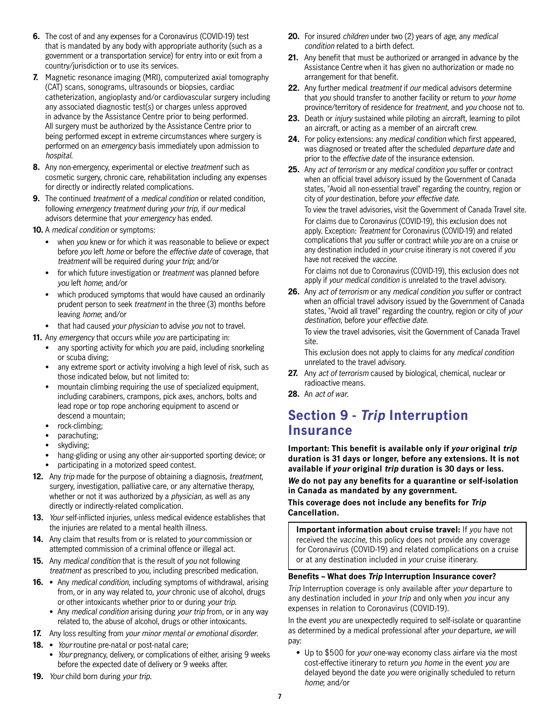- <span id="page-6-0"></span> **6.** The cost of and any expenses for a Coronavirus (COVID-19) test that is mandated by any body with appropriate authority (such as a government or a transportation service) for entry into or exit from a country/jurisdiction or to use its services.
- in advance by the Assistance Centre prior to being performed. **7.** Magnetic resonance imaging (MRI), computerized axial tomography (CAT) scans, sonograms, ultrasounds or biopsies, cardiac catheterization, angioplasty and/or cardiovascular surgery including any associated diagnostic test(s) or charges unless approved All surgery must be authorized by the Assistance Centre prior to being performed except in extreme circumstances where surgery is performed on an emergency basis immediately upon admission to hospital.
- for directly or indirectly related complications. **8.** Any non-emergency, experimental or elective treatment such as cosmetic surgery, chronic care, rehabilitation including any expenses
- **9.** The continued *treatment* of a *medical condition* or related condition, following emergency treatment during your trip, if our medical advisors determine that your emergency has ended.
- **10.** A medical condition or symptoms:
	- when you knew or for which it was reasonable to believe or expect before you left home or before the effective date of coverage, that treatment will be required during your trip; and/or
	- for which future investigation or *treatment* was planned before you left home; and/or
	- which produced symptoms that would have caused an ordinarily prudent person to seek treatment in the three (3) months before leaving home; and/or
	- that had caused your physician to advise you not to travel.

**11.** Any emergency that occurs while you are participating in:

- any sporting activity for which you are paid, including snorkeling or scuba diving;
- any extreme sport or activity involving a high level of risk, such as those indicated below, but not limited to:
- mountain climbing requiring the use of specialized equipment, including carabiners, crampons, pick axes, anchors, bolts and lead rope or top rope anchoring equipment to ascend or descend a mountain;
- rock-climbing;
- parachuting;
- skydiving;
- hang-gliding or using any other air-supported sporting device; or
- participating in a motorized speed contest.
- **12.** Any trip made for the purpose of obtaining a diagnosis, treatment, surgery, investigation, palliative care, or any alternative therapy, whether or not it was authorized by a *physician*, as well as any directly or indirectly-related complication.
- **13.** Your self-inflicted injuries, unless medical evidence establishes that the injuries are related to a mental health illness.
- **14.** Any claim that results from or is related to your commission or attempted commission of a criminal offence or illegal act.
- **15.** Any medical condition that is the result of you not following treatment as prescribed to you, including prescribed medication.
- 16. Any medical condition, including symptoms of withdrawal, arising from, or in any way related to, your chronic use of alcohol, drugs or other intoxicants whether prior to or during your trip.
	- Any medical condition arising during your trip from, or in any way related to, the abuse of alcohol, drugs or other intoxicants.
- **17.** Any loss resulting from your minor mental or emotional disorder.
- 18. *Your* routine pre-natal or post-natal care;
	- *Your* pregnancy, delivery, or complications of either, arising 9 weeks before the expected date of delivery or 9 weeks after.
- **19.** Your child born during your trip.
- **20.** For insured children under two (2) years of age, any medical condition related to a birth defect.
- **21.** Any benefit that must be authorized or arranged in advance by the Assistance Centre when it has given no authorization or made no arrangement for that benefit.
- **22.** Any further medical treatment if our medical advisors determine that you should transfer to another facility or return to your home province/territory of residence for treatment, and you choose not to.
- **23.** Death or injury sustained while piloting an aircraft, learning to pilot an aircraft, or acting as a member of an aircraft crew.
- **24.** For policy extensions: any medical condition which first appeared, was diagnosed or treated after the scheduled departure date and prior to the effective date of the insurance extension.
- **25.** Any act of terrorism or any medical condition you suffer or contract when an official travel advisory issued by the Government of Canada states, "Avoid all non-essential travel" regarding the country, region or city of your destination, before your effective date.

To view the travel advisories, visit the Government of Canada Travel site. For claims due to Coronavirus (COVID-19), this exclusion does not apply. Exception: Treatment for Coronavirus (COVID-19) and related complications that you suffer or contract while you are on a cruise or any destination included in your cruise itinerary is not covered if you have not received the vaccine.

For claims not due to Coronavirus (COVID-19), this exclusion does not apply if your medical condition is unrelated to the travel advisory.

**26.** Any act of terrorism or any medical condition you suffer or contract when an official travel advisory issued by the Government of Canada states, "Avoid all travel" regarding the country, region or city of your destination, before your effective date.

To view the travel advisories, visit the Government of Canada Travel site.

This exclusion does not apply to claims for any medical condition unrelated to the travel advisory.

- **27.** Any act of terrorism caused by biological, chemical, nuclear or radioactive means.
- **28.** An act of war.

## **Section 9 - Trip Interruption Insurance**

**Important: This benefit is available only if your original trip duration is 31 days or longer, before any extensions. It is not available if your original trip duration is 30 days or less.** 

**We do not pay any benefits for a quarantine or self-isolation in Canada as mandated by any government.**

**This coverage does not include any benefits for Trip Cancellation.**

**Important information about cruise travel:** If you have not received the vaccine, this policy does not provide any coverage for Coronavirus (COVID-19) and related complications on a cruise or at any destination included in your cruise itinerary.

#### **Benefits – What does Trip Interruption Insurance cover?**

Trip Interruption coverage is only available after your departure to any destination included in your trip and only when you incur any expenses in relation to Coronavirus (COVID-19).

 pay: In the event you are unexpectedly required to self-isolate or quarantine as determined by a medical professional after your departure, we will

• Up to \$500 for your one-way economy class airfare via the most cost-effective itinerary to return you home in the event you are delayed beyond the date you were originally scheduled to return home; and/or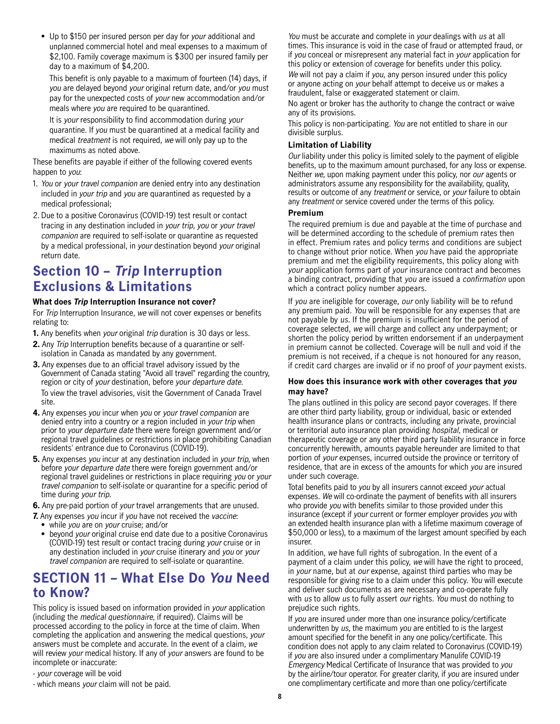<span id="page-7-0"></span>• Up to \$150 per insured person per day for your additional and unplanned commercial hotel and meal expenses to a maximum of \$2,100. Family coverage maximum is \$300 per insured family per day to a maximum of \$4,200.

This benefit is only payable to a maximum of fourteen (14) days, if you are delayed beyond your original return date, and/or you must pay for the unexpected costs of your new accommodation and/or meals where you are required to be quarantined.

It is your responsibility to find accommodation during your quarantine. If you must be quarantined at a medical facility and medical treatment is not required, we will only pay up to the maximums as noted above.

These benefits are payable if either of the following covered events happen to you:

- 1. You or your travel companion are denied entry into any destination included in your trip and you are quarantined as requested by a medical professional;
- 2. Due to a positive Coronavirus (COVID-19) test result or contact tracing in any destination included in your trip, you or your travel companion are required to self-isolate or quarantine as requested by a medical professional, in your destination beyond your original return date.

# **Section 10 – Trip Interruption Exclusions & Limitations**

#### **What does Trip Interruption Insurance not cover?**

For Trip Interruption Insurance, we will not cover expenses or benefits relating to:

**1.** Any benefits when your original trip duration is 30 days or less.

- **2.** Any *Trip* Interruption benefits because of a quarantine or selfisolation in Canada as mandated by any government.
- **3.** Any expenses due to an official travel advisory issued by the Government of Canada stating "Avoid all travel" regarding the country, region or city of your destination, before your departure date. To view the travel advisories, visit the Government of Canada Travel site.
- **4.** Any expenses you incur when you or your travel companion are denied entry into a country or a region included in your trip when prior to your departure date there were foreign government and/or regional travel guidelines or restrictions in place prohibiting Canadian residents' entrance due to Coronavirus (COVID-19).
- **5.** Any expenses you incur at any destination included in your trip, when before your departure date there were foreign government and/or regional travel guidelines or restrictions in place requiring you or your travel companion to self-isolate or quarantine for a specific period of time during your trip.
- **6.** Any pre-paid portion of your travel arrangements that are unused.
- **7.** Any expenses you incur if you have not received the vaccine:
	- while you are on your cruise; and/or
	- beyond your original cruise end date due to a positive Coronavirus (COVID-19) test result or contact tracing during your cruise or in any destination included in your cruise itinerary and you or your travel companion are required to self-isolate or quarantine.

# **SECTION 11 – What Else Do You Need to Know?**

This policy is issued based on information provided in your application (including the medical questionnaire, if required). Claims will be processed according to the policy in force at the time of claim. When completing the application and answering the medical questions, your answers must be complete and accurate. In the event of a claim, we will review your medical history. If any of your answers are found to be incomplete or inaccurate:

- your coverage will be void
- which means your claim will not be paid.

You must be accurate and complete in your dealings with us at all times. This insurance is void in the case of fraud or attempted fraud, or if you conceal or misrepresent any material fact in your application for this policy or extension of coverage for benefits under this policy.

We will not pay a claim if you, any person insured under this policy or anyone acting on your behalf attempt to deceive us or makes a fraudulent, false or exaggerated statement or claim.

No agent or broker has the authority to change the contract or waive any of its provisions.

This policy is non-participating. You are not entitled to share in our divisible surplus.

#### **Limitation of Liability**

Our liability under this policy is limited solely to the payment of eligible benefits, up to the maximum amount purchased, for any loss or expense. Neither we, upon making payment under this policy, nor our agents or administrators assume any responsibility for the availability, quality, results or outcome of any treatment or service, or your failure to obtain any treatment or service covered under the terms of this policy.

#### **Premium**

The required premium is due and payable at the time of purchase and will be determined according to the schedule of premium rates then in effect. Premium rates and policy terms and conditions are subject to change without prior notice. When you have paid the appropriate premium and met the eligibility requirements, this policy along with your application forms part of your insurance contract and becomes a binding contract, providing that you are issued a confirmation upon which a contract policy number appears.

If you are ineligible for coverage, our only liability will be to refund any premium paid. You will be responsible for any expenses that are not payable by us. If the premium is insufficient for the period of coverage selected, we will charge and collect any underpayment; or shorten the policy period by written endorsement if an underpayment in premium cannot be collected. Coverage will be null and void if the premium is not received, if a cheque is not honoured for any reason, if credit card charges are invalid or if no proof of your payment exists.

#### **How does this insurance work with other coverages that you may have?**

The plans outlined in this policy are second payor coverages. If there are other third party liability, group or individual, basic or extended health insurance plans or contracts, including any private, provincial or territorial auto insurance plan providing hospital, medical or therapeutic coverage or any other third party liability insurance in force concurrently herewith, amounts payable hereunder are limited to that portion of your expenses, incurred outside the province or territory of residence, that are in excess of the amounts for which you are insured under such coverage.

Total benefits paid to you by all insurers cannot exceed your actual expenses. We will co-ordinate the payment of benefits with all insurers who provide you with benefits similar to those provided under this insurance (except if your current or former employer provides you with an extended health insurance plan with a lifetime maximum coverage of \$50,000 or less), to a maximum of the largest amount specified by each insurer.

In addition, we have full rights of subrogation. In the event of a payment of a claim under this policy, we will have the right to proceed, in your name, but at our expense, against third parties who may be responsible for giving rise to a claim under this policy. You will execute and deliver such documents as are necessary and co-operate fully with us to allow us to fully assert our rights. You must do nothing to prejudice such rights.

If you are insured under more than one insurance policy/certificate underwritten by us, the maximum you are entitled to is the largest amount specified for the benefit in any one policy/certificate. This condition does not apply to any claim related to Coronavirus (COVID-19) if you are also insured under a complimentary Manulife COVID-19 Emergency Medical Certificate of Insurance that was provided to you by the airline/tour operator. For greater clarity, if you are insured under one complimentary certificate and more than one policy/certificate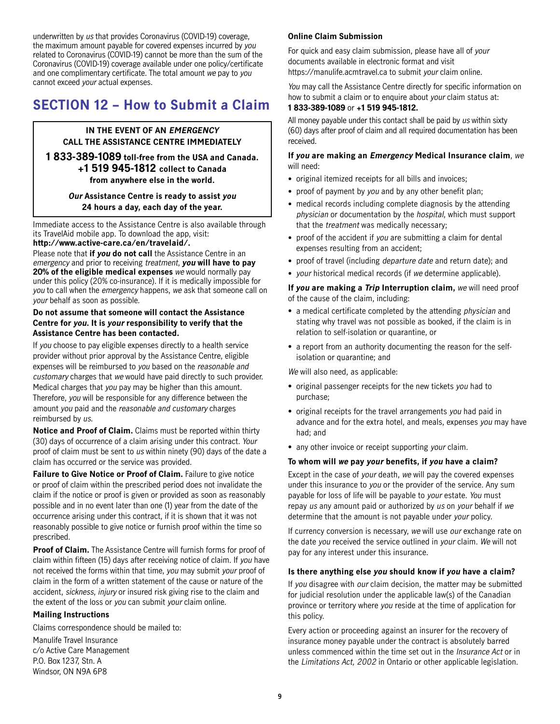<span id="page-8-0"></span>underwritten by us that provides Coronavirus (COVID-19) coverage, the maximum amount payable for covered expenses incurred by you related to Coronavirus (COVID-19) cannot be more than the sum of the Coronavirus (COVID-19) coverage available under one policy/certificate and one complimentary certificate. The total amount we pay to you cannot exceed your actual expenses.

# **SECTION 12 – How to Submit a Claim**

#### **IN THE EVENT OF AN EMERGENCY CALL THE ASSISTANCE CENTRE IMMEDIATELY**

#### **1 833-389-1089 toll-free from the USA and Canada. +1 519 945-1812 collect to Canada from anywhere else in the world.**

 **Our Assistance Centre is ready to assist you 24 hours a day, each day of the year.**

Immediate access to the Assistance Centre is also available through its TravelAid mobile app. To download the app, visit:

#### **<http://www.active-care.ca/en/travelaid>/.**

Please note that **if you do not call** the Assistance Centre in an emergency and prior to receiving treatment, **you will have to pay 20% of the eligible medical expenses** we would normally pay under this policy (20% co-insurance). If it is medically impossible for you to call when the emergency happens, we ask that someone call on your behalf as soon as possible.

#### **Do not assume that someone will contact the Assistance Centre for you. It is your responsibility to verify that the Assistance Centre has been contacted.**

If you choose to pay eligible expenses directly to a health service provider without prior approval by the Assistance Centre, eligible expenses will be reimbursed to you based on the reasonable and customary charges that we would have paid directly to such provider. Medical charges that you pay may be higher than this amount. Therefore, you will be responsible for any difference between the amount you paid and the reasonable and customary charges reimbursed by us.

**Notice and Proof of Claim.** Claims must be reported within thirty (30) days of occurrence of a claim arising under this contract. Your proof of claim must be sent to us within ninety (90) days of the date a claim has occurred or the service was provided.

**Failure to Give Notice or Proof of Claim.** Failure to give notice or proof of claim within the prescribed period does not invalidate the claim if the notice or proof is given or provided as soon as reasonably possible and in no event later than one (1) year from the date of the occurrence arising under this contract, if it is shown that it was not reasonably possible to give notice or furnish proof within the time so prescribed.

**Proof of Claim.** The Assistance Centre will furnish forms for proof of claim within fifteen (15) days after receiving notice of claim. If you have not received the forms within that time, you may submit your proof of claim in the form of a written statement of the cause or nature of the accident, sickness, injury or insured risk giving rise to the claim and the extent of the loss or you can submit your claim online.

#### **Mailing Instructions**

Claims correspondence should be mailed to:

Manulife Travel Insurance c/o Active Care Management P.O. Box 1237, Stn. A Windsor, ON N9A 6P8

#### **Online Claim Submission**

For quick and easy claim submission, please have all of your documents available in electronic format and visit <https://manulife.acmtravel.ca> to submit your claim online.

You may call the Assistance Centre directly for specific information on how to submit a claim or to enquire about your claim status at: **1 833-389-1089** or **+1 519 945-1812.**

All money payable under this contact shall be paid by us within sixty (60) days after proof of claim and all required documentation has been received.

#### **If you are making an Emergency Medical Insurance claim**, we will need:

- original itemized receipts for all bills and invoices:
- proof of payment by you and by any other benefit plan;
- • medical records including complete diagnosis by the attending physician or documentation by the hospital, which must support that the treatment was medically necessary;
- proof of the accident if you are submitting a claim for dental expenses resulting from an accident;
- proof of travel (including *departure date* and return date); and
- your historical medical records (if we determine applicable).

#### **If you are making a Trip Interruption claim,** we will need proof of the cause of the claim, including:

- a medical certificate completed by the attending physician and stating why travel was not possible as booked, if the claim is in relation to self-isolation or quarantine, or
- a report from an authority documenting the reason for the selfisolation or quarantine; and

We will also need, as applicable:

- original passenger receipts for the new tickets you had to purchase;
- original receipts for the travel arrangements you had paid in advance and for the extra hotel, and meals, expenses you may have had; and
- any other invoice or receipt supporting your claim.

#### **To whom will we pay your benefits, if you have a claim?**

Except in the case of your death, we will pay the covered expenses under this insurance to you or the provider of the service. Any sum payable for loss of life will be payable to your estate. You must repay us any amount paid or authorized by us on your behalf if we determine that the amount is not payable under your policy.

If currency conversion is necessary, we will use our exchange rate on the date you received the service outlined in your claim. We will not pay for any interest under this insurance.

#### **Is there anything else you should know if you have a claim?**

If you disagree with our claim decision, the matter may be submitted for judicial resolution under the applicable law(s) of the Canadian province or territory where you reside at the time of application for this policy.

Every action or proceeding against an insurer for the recovery of insurance money payable under the contract is absolutely barred unless commenced within the time set out in the Insurance Act or in the Limitations Act, 2002 in Ontario or other applicable legislation.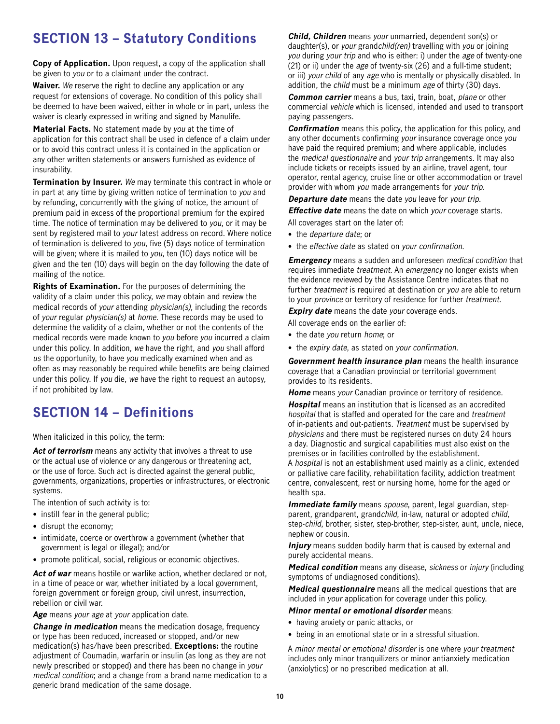# <span id="page-9-0"></span>**SECTION 13 – Statutory Conditions**

**Copy of Application.** Upon request, a copy of the application shall be given to you or to a claimant under the contract.

**Waiver.** We reserve the right to decline any application or any request for extensions of coverage. No condition of this policy shall be deemed to have been waived, either in whole or in part, unless the waiver is clearly expressed in writing and signed by Manulife.

**Material Facts.** No statement made by you at the time of application for this contract shall be used in defence of a claim under or to avoid this contract unless it is contained in the application or any other written statements or answers furnished as evidence of insurability.

**Termination by Insurer.** We may terminate this contract in whole or in part at any time by giving written notice of termination to you and by refunding, concurrently with the giving of notice, the amount of premium paid in excess of the proportional premium for the expired time. The notice of termination may be delivered to you, or it may be sent by registered mail to your latest address on record. Where notice of termination is delivered to you, five (5) days notice of termination will be given; where it is mailed to you, ten (10) days notice will be given and the ten (10) days will begin on the day following the date of mailing of the notice.

**Rights of Examination.** For the purposes of determining the validity of a claim under this policy, we may obtain and review the medical records of your attending physician(s), including the records of your regular physician(s) at home. These records may be used to determine the validity of a claim, whether or not the contents of the medical records were made known to you before you incurred a claim under this policy. In addition, we have the right, and you shall afford us the opportunity, to have you medically examined when and as often as may reasonably be required while benefits are being claimed under this policy. If you die, we have the right to request an autopsy, if not prohibited by law.

# **SECTION 14 – Definitions**

When italicized in this policy, the term:

Act of terrorism means any activity that involves a threat to use or the actual use of violence or any dangerous or threatening act, or the use of force. Such act is directed against the general public, governments, organizations, properties or infrastructures, or electronic systems.

The intention of such activity is to:

- instill fear in the general public;
- disrupt the economy;
- • intimidate, coerce or overthrow a government (whether that government is legal or illegal); and/or
- promote political, social, religious or economic objectives.

Act of war means hostile or warlike action, whether declared or not, in a time of peace or war, whether initiated by a local government, foreign government or foreign group, civil unrest, insurrection, rebellion or civil war.

**Age** means your age at your application date.

**Change in medication** means the medication dosage, frequency or type has been reduced, increased or stopped, and/or new medication(s) has/have been prescribed. **Exceptions:** the routine adjustment of Coumadin, warfarin or insulin (as long as they are not newly prescribed or stopped) and there has been no change in your medical condition; and a change from a brand name medication to a generic brand medication of the same dosage.

**Child, Children** means your unmarried, dependent son(s) or daughter(s), or your grandchild(ren) travelling with you or joining you during your trip and who is either: i) under the age of twenty-one (21) or ii) under the age of twenty-six (26) and a full-time student; or iii) your child of any age who is mentally or physically disabled. In addition, the child must be a minimum age of thirty (30) days.

**Common carrier** means a bus, taxi, train, boat, plane or other commercial vehicle which is licensed, intended and used to transport paying passengers.

**Confirmation** means this policy, the application for this policy, and any other documents confirming your insurance coverage once you have paid the required premium; and where applicable, includes the medical questionnaire and your trip arrangements. It may also include tickets or receipts issued by an airline, travel agent, tour operator, rental agency, cruise line or other accommodation or travel provider with whom you made arrangements for your trip.

**Departure date** means the date you leave for your trip.

**Effective date** means the date on which your coverage starts.

- All coverages start on the later of:
- the *departure date*; or
- the effective date as stated on your confirmation.

**Emergency** means a sudden and unforeseen medical condition that requires immediate treatment. An emergency no longer exists when the evidence reviewed by the Assistance Centre indicates that no further treatment is required at destination or you are able to return to your province or territory of residence for further treatment.

**Expiry date** means the date your coverage ends.

All coverage ends on the earlier of:

- the date you return home; or
- the expiry date, as stated on your confirmation.

**Government health insurance plan** means the health insurance coverage that a Canadian provincial or territorial government provides to its residents.

**Home** means your Canadian province or territory of residence. **Hospital** means an institution that is licensed as an accredited hospital that is staffed and operated for the care and treatment of in-patients and out-patients. Treatment must be supervised by physicians and there must be registered nurses on duty 24 hours a day. Diagnostic and surgical capabilities must also exist on the premises or in facilities controlled by the establishment. A hospital is not an establishment used mainly as a clinic, extended or palliative care facility, rehabilitation facility, addiction treatment centre, convalescent, rest or nursing home, home for the aged or health spa.

**Immediate family** means spouse, parent, legal guardian, stepparent, grandparent, grandchild, in-law, natural or adopted child, step-child, brother, sister, step-brother, step-sister, aunt, uncle, niece, nephew or cousin.

**Injury** means sudden bodily harm that is caused by external and purely accidental means.

**Medical condition** means any disease, sickness or injury (including symptoms of undiagnosed conditions).

**Medical questionnaire** means all the medical questions that are included in your application for coverage under this policy.

#### **Minor mental or emotional disorder** means:

- having anxiety or panic attacks, or
- being in an emotional state or in a stressful situation.

 A minor mental or emotional disorder is one where your treatment includes only minor tranquilizers or minor antianxiety medication (anxiolytics) or no prescribed medication at all.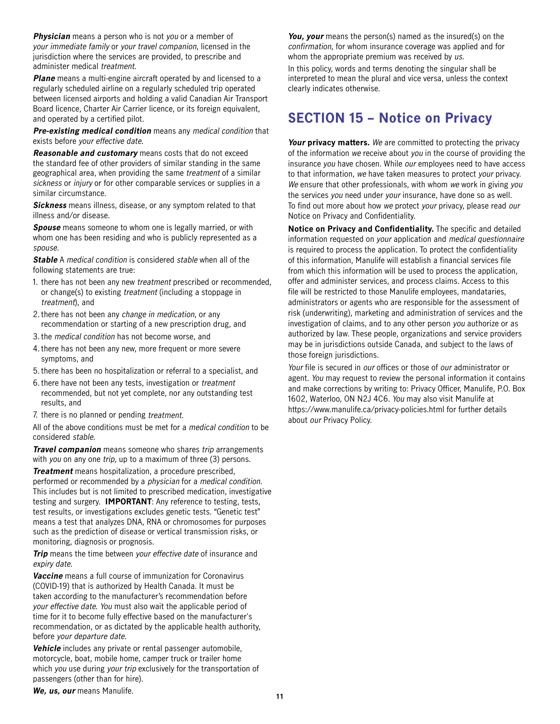<span id="page-10-0"></span>**Physician** means a person who is not you or a member of your immediate family or your travel companion, licensed in the jurisdiction where the services are provided, to prescribe and administer medical treatment.

**Plane** means a multi-engine aircraft operated by and licensed to a regularly scheduled airline on a regularly scheduled trip operated between licensed airports and holding a valid Canadian Air Transport Board licence, Charter Air Carrier licence, or its foreign equivalent, and operated by a certified pilot.

**Pre-existing medical condition** means any medical condition that exists before your effective date.

**Reasonable and customary** means costs that do not exceed the standard fee of other providers of similar standing in the same geographical area, when providing the same treatment of a similar sickness or *injury* or for other comparable services or supplies in a similar circumstance.

**Sickness** means illness, disease, or any symptom related to that illness and/or disease.

**Spouse** means someone to whom one is legally married, or with whom one has been residing and who is publicly represented as a spouse.

**Stable** A medical condition is considered stable when all of the following statements are true:

- 1. there has not been any new treatment prescribed or recommended, or change(s) to existing treatment (including a stoppage in treatment), and
- 2.there has not been any change in medication, or any recommendation or starting of a new prescription drug, and
- 3.the medical condition has not become worse, and
- 4.there has not been any new, more frequent or more severe symptoms, and
- 5.there has been no hospitalization or referral to a specialist, and
- 6.there have not been any tests, investigation or treatment recommended, but not yet complete, nor any outstanding test results, and
- 7. there is no planned or pending treatment.

All of the above conditions must be met for a medical condition to be considered stable.

**Travel companion** means someone who shares trip arrangements with you on any one trip, up to a maximum of three (3) persons.

**Treatment** means hospitalization, a procedure prescribed, performed or recommended by a physician for a medical condition. This includes but is not limited to prescribed medication, investigative testing and surgery. **IMPORTANT**: Any reference to testing, tests, test results, or investigations excludes genetic tests. "Genetic test" means a test that analyzes DNA, RNA or chromosomes for purposes such as the prediction of disease or vertical transmission risks, or monitoring, diagnosis or prognosis.

**Trip** means the time between your effective date of insurance and expiry date.

**Vaccine** means a full course of immunization for Coronavirus (COVID-19) that is authorized by Health Canada. It must be taken according to the manufacturer's recommendation before your effective date. You must also wait the applicable period of time for it to become fully effective based on the manufacturer's recommendation, or as dictated by the applicable health authority, before your departure date.

**Vehicle** includes any private or rental passenger automobile, motorcycle, boat, mobile home, camper truck or trailer home which you use during your trip exclusively for the transportation of passengers (other than for hire).

**You, your** means the person(s) named as the insured(s) on the confirmation, for whom insurance coverage was applied and for whom the appropriate premium was received by us. In this policy, words and terms denoting the singular shall be interpreted to mean the plural and vice versa, unless the context

# **SECTION 15 – Notice on Privacy**

clearly indicates otherwise.

**Your privacy matters.** We are committed to protecting the privacy of the information we receive about you in the course of providing the insurance you have chosen. While our employees need to have access to that information, we have taken measures to protect your privacy. We ensure that other professionals, with whom we work in giving you the services you need under your insurance, have done so as well. To find out more about how we protect your privacy, please read our Notice on Privacy and Confidentiality.

**Notice on Privacy and Confidentiality.** The specific and detailed information requested on your application and medical questionnaire is required to process the application. To protect the confidentiality of this information, Manulife will establish a financial services file from which this information will be used to process the application, offer and administer services, and process claims. Access to this file will be restricted to those Manulife employees, mandataries, administrators or agents who are responsible for the assessment of risk (underwriting), marketing and administration of services and the investigation of claims, and to any other person you authorize or as authorized by law. These people, organizations and service providers may be in jurisdictions outside Canada, and subject to the laws of those foreign jurisdictions.

Your file is secured in our offices or those of our administrator or agent. You may request to review the personal information it contains and make corrections by writing to: Privacy Officer, Manulife, P.O. Box 1602, Waterloo, ON N2J 4C6. You may also visit Manulife at <https://www.manulife.ca/privacy-policies.html> for further details about our Privacy Policy.

**We, us, our** means Manulife.